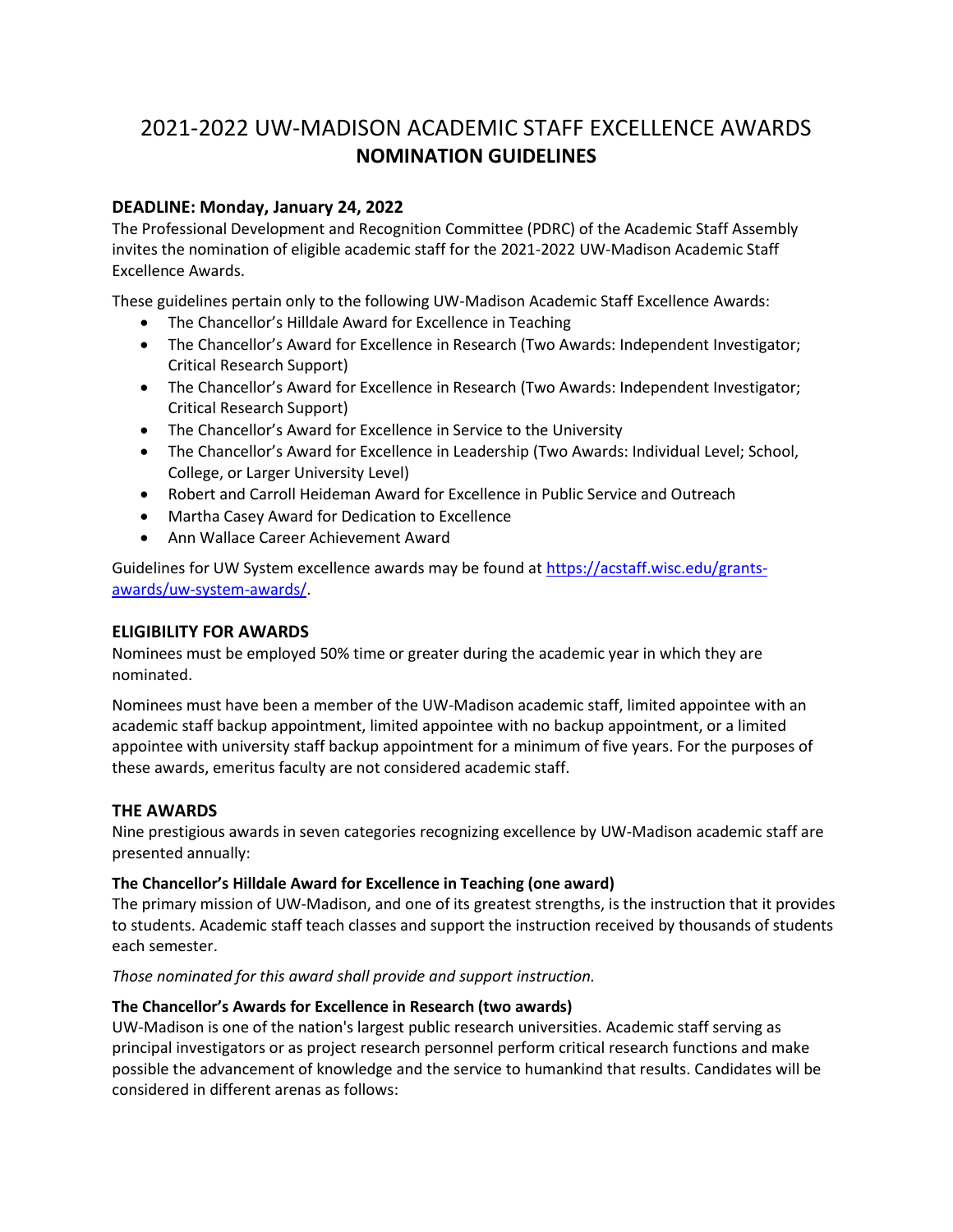# 2021-2022 UW-MADISON ACADEMIC STAFF EXCELLENCE AWARDS **NOMINATION GUIDELINES**

# **DEADLINE: Monday, January 24, 2022**

The Professional Development and Recognition Committee (PDRC) of the Academic Staff Assembly invites the nomination of eligible academic staff for the 2021-2022 UW-Madison Academic Staff Excellence Awards.

These guidelines pertain only to the following UW-Madison Academic Staff Excellence Awards:

- The Chancellor's Hilldale Award for Excellence in Teaching
- The Chancellor's Award for Excellence in Research (Two Awards: Independent Investigator; Critical Research Support)
- The Chancellor's Award for Excellence in Research (Two Awards: Independent Investigator; Critical Research Support)
- The Chancellor's Award for Excellence in Service to the University
- The Chancellor's Award for Excellence in Leadership (Two Awards: Individual Level; School, College, or Larger University Level)
- Robert and Carroll Heideman Award for Excellence in Public Service and Outreach
- Martha Casey Award for Dedication to Excellence
- Ann Wallace Career Achievement Award

Guidelines for UW System excellence awards may be found at [https://acstaff.wisc.edu/grants](https://acstaff.wisc.edu/grants-awards/uw-system-awards/)[awards/uw-system-awards/.](https://acstaff.wisc.edu/grants-awards/uw-system-awards/)

# **ELIGIBILITY FOR AWARDS**

Nominees must be employed 50% time or greater during the academic year in which they are nominated.

Nominees must have been a member of the UW-Madison academic staff, limited appointee with an academic staff backup appointment, limited appointee with no backup appointment, or a limited appointee with university staff backup appointment for a minimum of five years. For the purposes of these awards, emeritus faculty are not considered academic staff.

#### **THE AWARDS**

Nine prestigious awards in seven categories recognizing excellence by UW-Madison academic staff are presented annually:

#### **The Chancellor's Hilldale Award for Excellence in Teaching (one award)**

The primary mission of UW-Madison, and one of its greatest strengths, is the instruction that it provides to students. Academic staff teach classes and support the instruction received by thousands of students each semester.

*Those nominated for this award shall provide and support instruction.*

#### **The Chancellor's Awards for Excellence in Research (two awards)**

UW-Madison is one of the nation's largest public research universities. Academic staff serving as principal investigators or as project research personnel perform critical research functions and make possible the advancement of knowledge and the service to humankind that results. Candidates will be considered in different arenas as follows: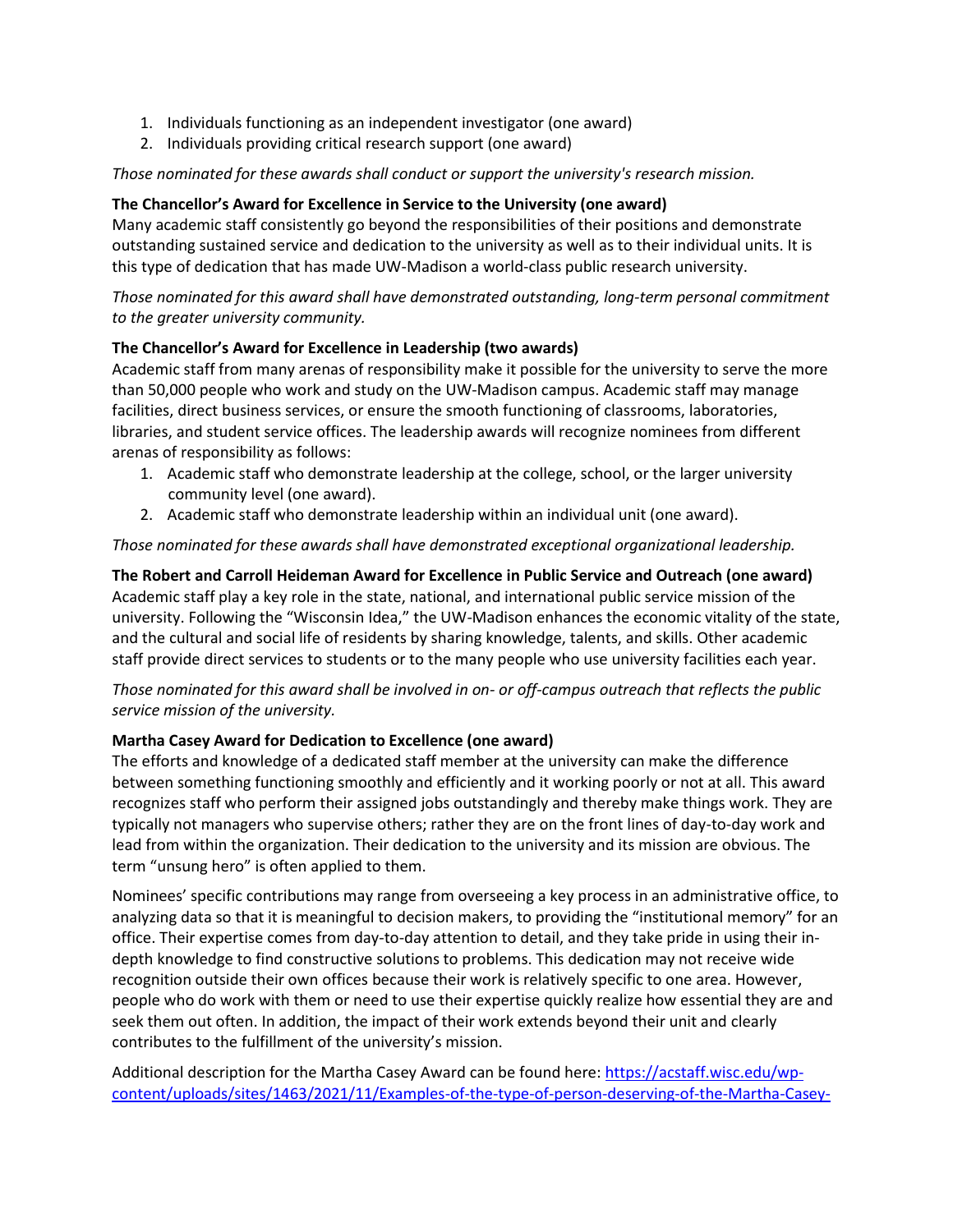- 1. Individuals functioning as an independent investigator (one award)
- 2. Individuals providing critical research support (one award)

#### *Those nominated for these awards shall conduct or support the university's research mission.*

#### **The Chancellor's Award for Excellence in Service to the University (one award)**

Many academic staff consistently go beyond the responsibilities of their positions and demonstrate outstanding sustained service and dedication to the university as well as to their individual units. It is this type of dedication that has made UW-Madison a world-class public research university.

*Those nominated for this award shall have demonstrated outstanding, long-term personal commitment to the greater university community.*

#### **The Chancellor's Award for Excellence in Leadership (two awards)**

Academic staff from many arenas of responsibility make it possible for the university to serve the more than 50,000 people who work and study on the UW-Madison campus. Academic staff may manage facilities, direct business services, or ensure the smooth functioning of classrooms, laboratories, libraries, and student service offices. The leadership awards will recognize nominees from different arenas of responsibility as follows:

- 1. Academic staff who demonstrate leadership at the college, school, or the larger university community level (one award).
- 2. Academic staff who demonstrate leadership within an individual unit (one award).

#### *Those nominated for these awards shall have demonstrated exceptional organizational leadership.*

**The Robert and Carroll Heideman Award for Excellence in Public Service and Outreach (one award)** Academic staff play a key role in the state, national, and international public service mission of the university. Following the "Wisconsin Idea," the UW-Madison enhances the economic vitality of the state, and the cultural and social life of residents by sharing knowledge, talents, and skills. Other academic staff provide direct services to students or to the many people who use university facilities each year.

## *Those nominated for this award shall be involved in on- or off-campus outreach that reflects the public service mission of the university.*

#### **Martha Casey Award for Dedication to Excellence (one award)**

The efforts and knowledge of a dedicated staff member at the university can make the difference between something functioning smoothly and efficiently and it working poorly or not at all. This award recognizes staff who perform their assigned jobs outstandingly and thereby make things work. They are typically not managers who supervise others; rather they are on the front lines of day-to-day work and lead from within the organization. Their dedication to the university and its mission are obvious. The term "unsung hero" is often applied to them.

Nominees' specific contributions may range from overseeing a key process in an administrative office, to analyzing data so that it is meaningful to decision makers, to providing the "institutional memory" for an office. Their expertise comes from day-to-day attention to detail, and they take pride in using their indepth knowledge to find constructive solutions to problems. This dedication may not receive wide recognition outside their own offices because their work is relatively specific to one area. However, people who do work with them or need to use their expertise quickly realize how essential they are and seek them out often. In addition, the impact of their work extends beyond their unit and clearly contributes to the fulfillment of the university's mission.

Additional description for the Martha Casey Award can be found here[: https://acstaff.wisc.edu/wp](https://acstaff.wisc.edu/wp-content/uploads/sites/1463/2021/11/Examples-of-the-type-of-person-deserving-of-the-Martha-Casey-Award.pdf)[content/uploads/sites/1463/2021/11/Examples-of-the-type-of-person-deserving-of-the-Martha-Casey-](https://acstaff.wisc.edu/wp-content/uploads/sites/1463/2021/11/Examples-of-the-type-of-person-deserving-of-the-Martha-Casey-Award.pdf)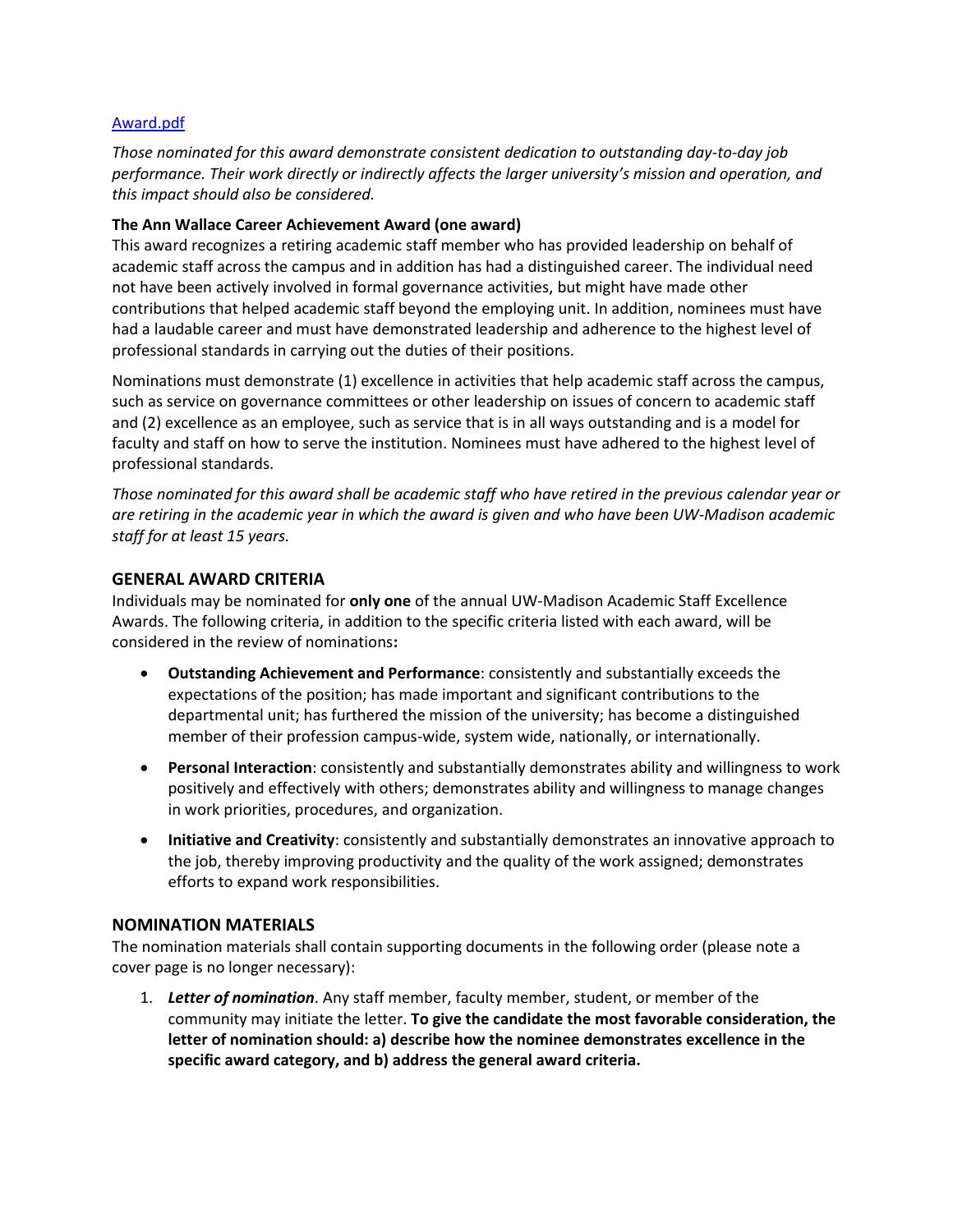## [Award.pdf](https://acstaff.wisc.edu/wp-content/uploads/sites/1463/2021/11/Examples-of-the-type-of-person-deserving-of-the-Martha-Casey-Award.pdf)

*Those nominated for this award demonstrate consistent dedication to outstanding day-to-day job performance. Their work directly or indirectly affects the larger university's mission and operation, and this impact should also be considered.*

#### **The Ann Wallace Career Achievement Award (one award)**

This award recognizes a retiring academic staff member who has provided leadership on behalf of academic staff across the campus and in addition has had a distinguished career. The individual need not have been actively involved in formal governance activities, but might have made other contributions that helped academic staff beyond the employing unit. In addition, nominees must have had a laudable career and must have demonstrated leadership and adherence to the highest level of professional standards in carrying out the duties of their positions.

Nominations must demonstrate (1) excellence in activities that help academic staff across the campus, such as service on governance committees or other leadership on issues of concern to academic staff and (2) excellence as an employee, such as service that is in all ways outstanding and is a model for faculty and staff on how to serve the institution. Nominees must have adhered to the highest level of professional standards.

*Those nominated for this award shall be academic staff who have retired in the previous calendar year or are retiring in the academic year in which the award is given and who have been UW-Madison academic staff for at least 15 years.*

## **GENERAL AWARD CRITERIA**

Individuals may be nominated for **only one** of the annual UW-Madison Academic Staff Excellence Awards. The following criteria, in addition to the specific criteria listed with each award, will be considered in the review of nominations**:** 

- **Outstanding Achievement and Performance**: consistently and substantially exceeds the expectations of the position; has made important and significant contributions to the departmental unit; has furthered the mission of the university; has become a distinguished member of their profession campus-wide, system wide, nationally, or internationally.
- **Personal Interaction**: consistently and substantially demonstrates ability and willingness to work positively and effectively with others; demonstrates ability and willingness to manage changes in work priorities, procedures, and organization.
- **Initiative and Creativity**: consistently and substantially demonstrates an innovative approach to the job, thereby improving productivity and the quality of the work assigned; demonstrates efforts to expand work responsibilities.

# **NOMINATION MATERIALS**

The nomination materials shall contain supporting documents in the following order (please note a cover page is no longer necessary):

1. *Letter of nomination*. Any staff member, faculty member, student, or member of the community may initiate the letter. **To give the candidate the most favorable consideration, the letter of nomination should: a) describe how the nominee demonstrates excellence in the specific award category, and b) address the general award criteria.**